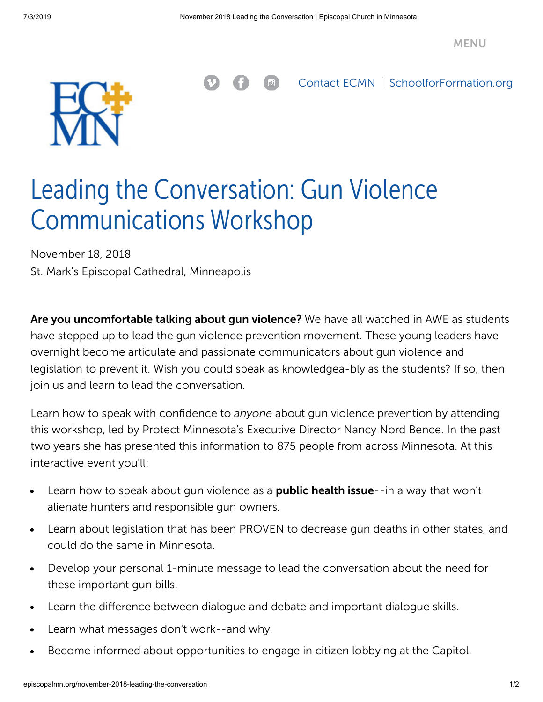

[Contact ECMN](https://episcopalmn.org/missioners) | [SchoolforFormation.org](http://schoolforformation.org/)

## Leading the Conversation: Gun Violence Communications Workshop

November 18, 2018 St. Mark's Episcopal Cathedral, Minneapolis

Are you uncomfortable talking about gun violence? We have all watched in AWE as students have stepped up to lead the gun violence prevention movement. These young leaders have overnight become articulate and passionate communicators about gun violence and legislation to prevent it. Wish you could speak as knowledgea-bly as the students? If so, then join us and learn to lead the conversation.

Learn how to speak with confidence to *anyone* about gun violence prevention by attending this workshop, led by Protect Minnesota's Executive Director Nancy Nord Bence. In the past two years she has presented this information to 875 people from across Minnesota. At this interactive event you'll:

- Learn how to speak about gun violence as a **public health issue**--in a way that won't  $\bullet$ alienate hunters and responsible gun owners.
- Learn about legislation that has been PROVEN to decrease gun deaths in other states, and  $\bullet$ could do the same in Minnesota.
- Develop your personal 1-minute message to lead the conversation about the need for  $\bullet$ these important gun bills.
- Learn the difference between dialogue and debate and important dialogue skills.  $\bullet$
- Learn what messages don't work--and why.
- Become informed about opportunities to engage in citizen lobbying at the Capitol.